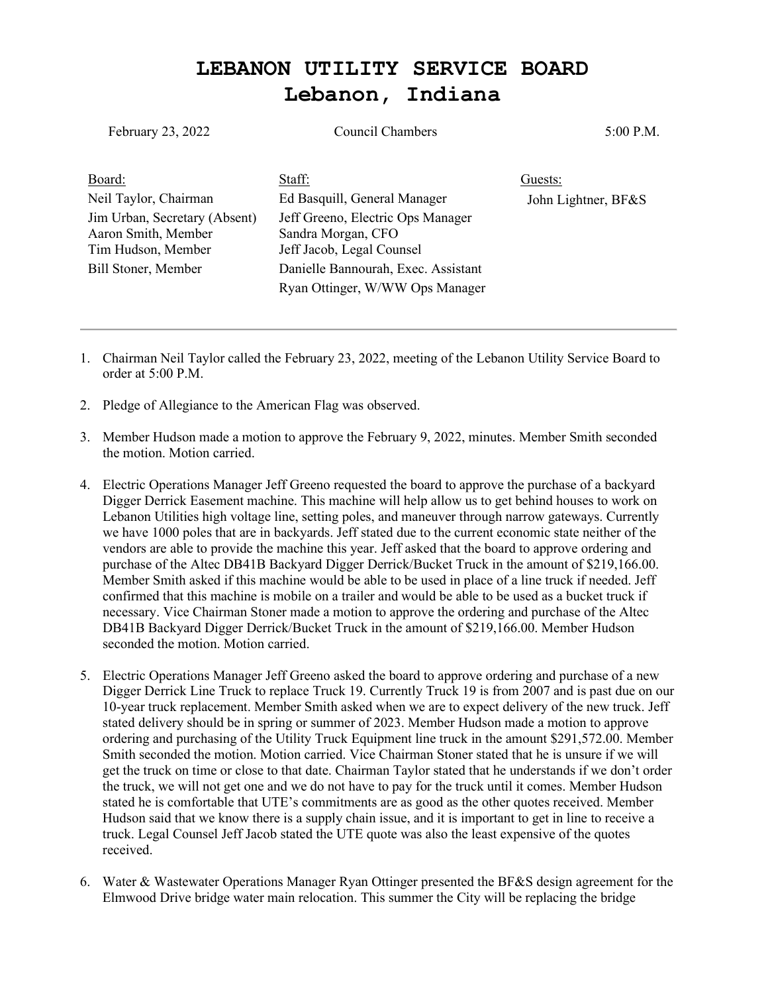## **LEBANON UTILITY SERVICE BOARD Lebanon, Indiana**

| February 23, 2022                                                          | <b>Council Chambers</b>                                                              | 5:00 P.M.           |
|----------------------------------------------------------------------------|--------------------------------------------------------------------------------------|---------------------|
| Board:                                                                     | Staff:                                                                               | Guests:             |
| Neil Taylor, Chairman                                                      | Ed Basquill, General Manager                                                         | John Lightner, BF&S |
| Jim Urban, Secretary (Absent)<br>Aaron Smith, Member<br>Tim Hudson, Member | Jeff Greeno, Electric Ops Manager<br>Sandra Morgan, CFO<br>Jeff Jacob, Legal Counsel |                     |
| Bill Stoner, Member                                                        | Danielle Bannourah, Exec. Assistant<br>Ryan Ottinger, W/WW Ops Manager               |                     |

- 1. Chairman Neil Taylor called the February 23, 2022, meeting of the Lebanon Utility Service Board to order at 5:00 P.M.
- 2. Pledge of Allegiance to the American Flag was observed.
- 3. Member Hudson made a motion to approve the February 9, 2022, minutes. Member Smith seconded the motion. Motion carried.
- 4. Electric Operations Manager Jeff Greeno requested the board to approve the purchase of a backyard Digger Derrick Easement machine. This machine will help allow us to get behind houses to work on Lebanon Utilities high voltage line, setting poles, and maneuver through narrow gateways. Currently we have 1000 poles that are in backyards. Jeff stated due to the current economic state neither of the vendors are able to provide the machine this year. Jeff asked that the board to approve ordering and purchase of the Altec DB41B Backyard Digger Derrick/Bucket Truck in the amount of \$219,166.00. Member Smith asked if this machine would be able to be used in place of a line truck if needed. Jeff confirmed that this machine is mobile on a trailer and would be able to be used as a bucket truck if necessary. Vice Chairman Stoner made a motion to approve the ordering and purchase of the Altec DB41B Backyard Digger Derrick/Bucket Truck in the amount of \$219,166.00. Member Hudson seconded the motion. Motion carried.
- 5. Electric Operations Manager Jeff Greeno asked the board to approve ordering and purchase of a new Digger Derrick Line Truck to replace Truck 19. Currently Truck 19 is from 2007 and is past due on our 10-year truck replacement. Member Smith asked when we are to expect delivery of the new truck. Jeff stated delivery should be in spring or summer of 2023. Member Hudson made a motion to approve ordering and purchasing of the Utility Truck Equipment line truck in the amount \$291,572.00. Member Smith seconded the motion. Motion carried. Vice Chairman Stoner stated that he is unsure if we will get the truck on time or close to that date. Chairman Taylor stated that he understands if we don't order the truck, we will not get one and we do not have to pay for the truck until it comes. Member Hudson stated he is comfortable that UTE's commitments are as good as the other quotes received. Member Hudson said that we know there is a supply chain issue, and it is important to get in line to receive a truck. Legal Counsel Jeff Jacob stated the UTE quote was also the least expensive of the quotes received.
- 6. Water & Wastewater Operations Manager Ryan Ottinger presented the BF&S design agreement for the Elmwood Drive bridge water main relocation. This summer the City will be replacing the bridge